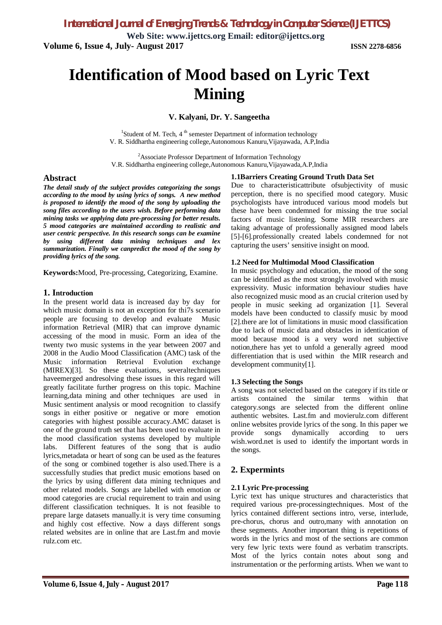**Web Site: www.ijettcs.org Email: editor@ijettcs.org Volume 6, Issue 4, July- August 2017 ISSN 2278-6856**

# **Identification of Mood based on Lyric Text Mining**

**V. Kalyani, Dr. Y. Sangeetha**

<sup>1</sup>Student of M. Tech, 4<sup>th</sup> semester Department of information technology V. R. Siddhartha engineering college,Autonomous Kanuru,Vijayawada, A.P,India

<sup>2</sup>Associate Professor Department of Information Technology V.R. Siddhartha engineering college,Autonomous Kanuru,Vijayawada,A.P,India

## **Abstract**

*The detail study of the subject provides categorizing the songs according to the mood by using lyrics of songs. A new method is proposed to identify the mood of the song by uploading the song files according to the users wish. Before performing data mining tasks we applying data pre-processing for better results. 5 mood categories are maintained according to realistic and user centric perspective. In this research songs can be examine by using different data mining techniques and lex summarization. Finally we canpredict the mood of the song by providing lyrics of the song.*

**Keywords:**Mood, Pre-processing, Categorizing, Examine.

## **1. Introduction**

In the present world data is increased day by day for which music domain is not an exception for thi7s scenario people are focusing to develop and evaluate Music information Retrieval (MIR) that can improve dynamic accessing of the mood in music. Form an idea of the twenty two music systems in the year between 2007 and 2008 in the Audio Mood Classification (AMC) task of the Music information Retrieval Evolution exchange (MIREX)[3]. So these evaluations, severaltechniques haveemerged andresolving these issues in this regard will greatly facilitate further progress on this topic. Machine learning,data mining and other techniques are used in Music sentiment analysis or mood recognition to classify songs in either positive or negative or more emotion categories with highest possible accuracy.AMC dataset is one of the ground truth set that has been used to evaluate in the mood classification systems developed by multiple labs. Different features of the song that is audio lyrics,metadata or heart of song can be used as the features of the song or combined together is also used.There is a successfully studies that predict music emotions based on the lyrics by using different data mining techniques and other related models. Songs are labelled with emotion or mood categories are crucial requirement to train and using different classification techniques. It is not feasible to prepare large datasets manually.it is very time consuming and highly cost effective. Now a days different songs related websites are in online that are Last.fm and movie rulz.com etc.

#### Due to characteristicattribute ofsubjectivity of music perception, there is no specified mood category. Music psychologists have introduced various mood models but these have been condemned for missing the true social factors of music listening. Some MIR researchers are taking advantage of professionally assigned mood labels [5]-[6].professionally created labels condemned for not capturing the users' sensitive insight on mood.

## **1.2 Need for Multimodal Mood Classification**

**1.1Barriers Creating Ground Truth Data Set**

In music psychology and education, the mood of the song can be identified as the most strongly involved with music expressivity. Music information behaviour studies have also recognized music mood as an crucial criterion used by people in music seeking ad organization [1]. Several models have been conducted to classify music by mood [2].there are lot of limitations in music mood classification due to lack of music data and obstacles in identication of mood because mood is a very word net subjective notion,there has yet to unfold a generally agreed mood differentiation that is used within the MIR research and development community[1].

## **1.3 Selecting the Songs**

A song was not selected based on the category if its title or artists contained the similar terms within that category.songs are selected from the different online authentic websites. Last.fm and movierulz.com different online websites provide lyrics of the song. In this paper we provide songs dynamically according to uers wish.word.net is used to identify the important words in the songs.

## **2. Expermints**

## **2.1 Lyric Pre-processing**

Lyric text has unique structures and characteristics that required various pre-processingtechniques. Most of the lyrics contained different sections intro, verse, interlude, pre-chorus, chorus and outro,many with annotation on these segments. Another important thing is repetitions of words in the lyrics and most of the sections are common very few lyric texts were found as verbatim transcripts. Most of the lyrics contain notes about song and instrumentation or the performing artists. When we want to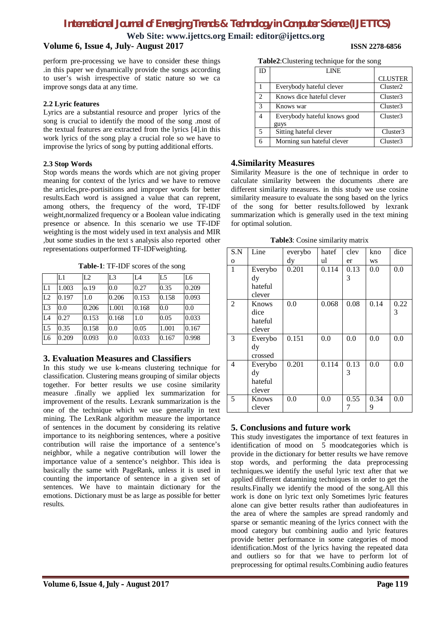# *International Journal of Emerging Trends & Technology in Computer Science (IJETTCS)*

**Web Site: www.ijettcs.org Email: editor@ijettcs.org**

# **Volume 6, Issue 4, July- August 2017 ISSN 2278-6856**

perform pre-processing we have to consider these things .in this paper we dynamically provide the songs according to user's wish irrespective of static nature so we ca improve songs data at any time.

## **2.2 Lyric features**

Lyrics are a substantial resource and proper lyrics of the song is crucial to identify the mood of the song .most of the textual features are extracted from the lyrics [4].in this work lyrics of the song play a crucial role so we have to improvise the lyrics of song by putting additional efforts.

## **2.3 Stop Words**

Stop words means the words which are not giving proper meaning for context of the lyrics and we have to remove the articles,pre-portisitions and improper words for better results.Each word is assigned a value that can reprent, among others, the frequency of the word, TF-IDF weight,normalized frequency or a Boolean value indicating presence or absence. In this scenario we use TF-IDF weighting is the most widely used in text analysis and MIR ,but some studies in the text s analysis also reported other representations outperformed TF-IDFweighting.

**Table-1**: TF-IDF scores of the song

|                | L1    | L2    | L <sub>3</sub> | IA    | L <sub>5</sub> | L <sub>6</sub> |
|----------------|-------|-------|----------------|-------|----------------|----------------|
| L1             | 1.003 | 0.19  | 0.0            | 0.27  | 0.35           | 0.209          |
| L2             | 0.197 | 1.0   | 0.206          | 0.153 | 0.158          | 0.093          |
| L3             | 0.0   | 0.206 | 1.001          | 0.168 | 0.0            | 0.0            |
| IA             | 0.27  | 0.153 | 0.168          | 1.0   | 0.05           | 0.033          |
| L <sub>5</sub> | 0.35  | 0.158 | 0.0            | 0.05  | 1.001          | 0.167          |
| L <sub>6</sub> | 0.209 | 0.093 | 0.0            | 0.033 | 0.167          | 0.998          |

# **3. Evaluation Measures and Classifiers**

In this study we use k-means clustering technique for classification. Clustering means grouping of similar objects together. For better results we use cosine similarity measure .finally we applied lex summarization for improvement of the results. Lexrank summarization is the one of the technique which we use generally in text mining. The LexRank algorithm measure the importance of sentences in the document by considering its relative importance to its neighboring sentences, where a positive contribution will raise the importance of a sentence's neighbor, while a negative contribution will lower the importance value of a sentence's neighbor. This idea is basically the same with PageRank, unless it is used in counting the importance of sentence in a given set of sentences. We have to maintain dictionary for the emotions. Dictionary must be as large as possible for better results.

|  | Table2: Clustering technique for the song |  |  |  |
|--|-------------------------------------------|--|--|--|
|--|-------------------------------------------|--|--|--|

| ID             | LINE                         |                      |
|----------------|------------------------------|----------------------|
|                |                              | <b>CLUSTER</b>       |
| 1              | Everybody hateful clever     | Cluster <sub>2</sub> |
| 2              | Knows dice hateful clever    | Cluster3             |
| 3              | Knows war                    | Cluster3             |
| 4              | Everybody hateful knows good | Cluster3             |
|                | guys                         |                      |
| $\overline{5}$ | Sitting hateful clever       | Cluster3             |
| 6              | Morning sun hateful clever   | Cluster3             |

# **4.Similarity Measures**

Similarity Measure is the one of technique in order to calculate similarity between the documents .there are different similarity measures. in this study we use cosine similarity measure to evaluate the song based on the lyrics of the song for better results.followed by lexrank summarization which is generally used in the text mining for optimal solution.

| Table3: Cosine similarity matrix |  |  |
|----------------------------------|--|--|
|                                  |  |  |

| S.N            | Line    | everybo       | hatef | clev | kno       | dice |
|----------------|---------|---------------|-------|------|-----------|------|
| $\mathbf{o}$   |         | $\mathbf{dy}$ | ul    | er   | <b>WS</b> |      |
| 1              | Everybo | 0.201         | 0.114 | 0.13 | 0.0       | 0.0  |
|                | dy      |               |       | 3    |           |      |
|                | hateful |               |       |      |           |      |
|                | clever  |               |       |      |           |      |
| $\overline{c}$ | Knows   | 0.0           | 0.068 | 0.08 | 0.14      | 0.22 |
|                | dice    |               |       |      |           | 3    |
|                | hateful |               |       |      |           |      |
|                | clever  |               |       |      |           |      |
| 3              | Everybo | 0.151         | 0.0   | 0.0  | 0.0       | 0.0  |
|                | dy      |               |       |      |           |      |
|                | crossed |               |       |      |           |      |
| 4              | Everybo | 0.201         | 0.114 | 0.13 | 0.0       | 0.0  |
|                | dy      |               |       | 3    |           |      |
|                | hateful |               |       |      |           |      |
|                | clever  |               |       |      |           |      |
| 5              | Knows   | 0.0           | 0.0   | 0.55 | 0.34      | 0.0  |
|                | clever  |               |       | 7    | 9         |      |

# **5. Conclusions and future work**

This study investigates the importance of text features in identification of mood on  $\overline{5}$  moodcategories which is provide in the dictionary for better results we have remove stop words, and performing the data preprocessing techniques.we identify the useful lyric text after that we applied different datamining techniques in order to get the results.Finally we identify the mood of the song.All this work is done on lyric text only Sometimes lyric features alone can give better results rather than audiofeatures in the area of where the samples are spread randomly and sparse or semantic meaning of the lyrics connect with the mood category but combining audio and lyric features provide better performance in some categories of mood identification.Most of the lyrics having the repeated data and outliers so for that we have to perform lot of preprocessing for optimal results.Combining audio features